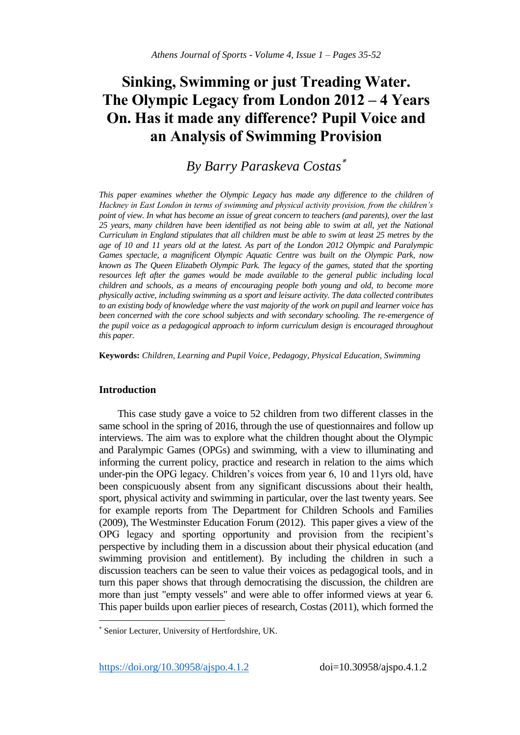# **Sinking, Swimming or just Treading Water. The Olympic Legacy from London 2012 – 4 Years On. Has it made any difference? Pupil Voice and an Analysis of Swimming Provision**

# *By Barry Paraskeva Costas*

*This paper examines whether the Olympic Legacy has made any difference to the children of Hackney in East London in terms of swimming and physical activity provision, from the children's point of view. In what has become an issue of great concern to teachers (and parents), over the last 25 years, many children have been identified as not being able to swim at all, yet the National Curriculum in England stipulates that all children must be able to swim at least 25 metres by the age of 10 and 11 years old at the latest. As part of the London 2012 Olympic and Paralympic Games spectacle, a magnificent Olympic Aquatic Centre was built on the Olympic Park, now known as The Queen Elizabeth Olympic Park. The legacy of the games, stated that the sporting*  resources left after the games would be made available to the general public including local *children and schools, as a means of encouraging people both young and old, to become more physically active, including swimming as a sport and leisure activity. The data collected contributes to an existing body of knowledge where the vast majority of the work on pupil and learner voice has been concerned with the core school subjects and with secondary schooling. The re-emergence of the pupil voice as a pedagogical approach to inform curriculum design is encouraged throughout this paper.*

**Keywords:** *Children, Learning and Pupil Voice, Pedagogy, Physical Education, Swimming*

# **Introduction**

 $\overline{a}$ 

This case study gave a voice to 52 children from two different classes in the same school in the spring of 2016, through the use of questionnaires and follow up interviews. The aim was to explore what the children thought about the Olympic and Paralympic Games (OPGs) and swimming, with a view to illuminating and informing the current policy, practice and research in relation to the aims which under-pin the OPG legacy. Children's voices from year 6, 10 and 11yrs old, have been conspicuously absent from any significant discussions about their health, sport, physical activity and swimming in particular, over the last twenty years. See for example reports from The Department for Children Schools and Families (2009), The Westminster Education Forum (2012). This paper gives a view of the OPG legacy and sporting opportunity and provision from the recipient's perspective by including them in a discussion about their physical education (and swimming provision and entitlement). By including the children in such a discussion teachers can be seen to value their voices as pedagogical tools, and in turn this paper shows that through democratising the discussion, the children are more than just "empty vessels" and were able to offer informed views at year 6. This paper builds upon earlier pieces of research, Costas (2011), which formed the

https://doi.org/10.30958/ajspo.4.1.2 doi=10.30958/ajspo.4.1.2

Senior Lecturer, University of Hertfordshire, UK.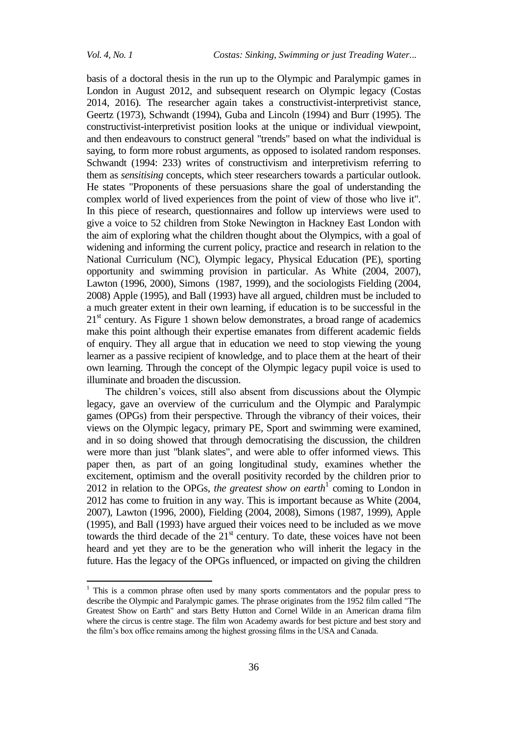basis of a doctoral thesis in the run up to the Olympic and Paralympic games in London in August 2012, and subsequent research on Olympic legacy (Costas 2014, 2016). The researcher again takes a constructivist-interpretivist stance, Geertz (1973), Schwandt (1994), Guba and Lincoln (1994) and Burr (1995). The constructivist-interpretivist position looks at the unique or individual viewpoint, and then endeavours to construct general "trends" based on what the individual is saying, to form more robust arguments, as opposed to isolated random responses. Schwandt (1994: 233) writes of constructivism and interpretivism referring to them as *sensitising* concepts, which steer researchers towards a particular outlook. He states "Proponents of these persuasions share the goal of understanding the complex world of lived experiences from the point of view of those who live it". In this piece of research, questionnaires and follow up interviews were used to give a voice to 52 children from Stoke Newington in Hackney East London with the aim of exploring what the children thought about the Olympics, with a goal of widening and informing the current policy, practice and research in relation to the National Curriculum (NC), Olympic legacy, Physical Education (PE), sporting opportunity and swimming provision in particular. As White (2004, 2007), Lawton (1996, 2000), Simons (1987, 1999), and the sociologists Fielding (2004, 2008) Apple (1995), and Ball (1993) have all argued, children must be included to a much greater extent in their own learning, if education is to be successful in the  $21<sup>st</sup>$  century. As Figure 1 shown below demonstrates, a broad range of academics make this point although their expertise emanates from different academic fields of enquiry. They all argue that in education we need to stop viewing the young learner as a passive recipient of knowledge, and to place them at the heart of their own learning. Through the concept of the Olympic legacy pupil voice is used to illuminate and broaden the discussion.

The children's voices, still also absent from discussions about the Olympic legacy, gave an overview of the curriculum and the Olympic and Paralympic games (OPGs) from their perspective. Through the vibrancy of their voices, their views on the Olympic legacy, primary PE, Sport and swimming were examined, and in so doing showed that through democratising the discussion, the children were more than just "blank slates", and were able to offer informed views. This paper then, as part of an going longitudinal study, examines whether the excitement, optimism and the overall positivity recorded by the children prior to 2012 in relation to the OPGs, *the greatest show on earth*<sup>1</sup> coming to London in 2012 has come to fruition in any way. This is important because as White (2004, 2007), Lawton (1996, 2000), Fielding (2004, 2008), Simons (1987, 1999), Apple (1995), and Ball (1993) have argued their voices need to be included as we move towards the third decade of the  $21<sup>st</sup>$  century. To date, these voices have not been heard and yet they are to be the generation who will inherit the legacy in the future. Has the legacy of the OPGs influenced, or impacted on giving the children

 $1$ . This is a common phrase often used by many sports commentators and the popular press to describe the Olympic and Paralympic games. The phrase originates from the 1952 film called "The Greatest Show on Earth" and stars Betty Hutton and Cornel Wilde in an American drama film where the circus is centre stage. The film won Academy awards for best picture and best story and the film's box office remains among the highest grossing films in the USA and Canada.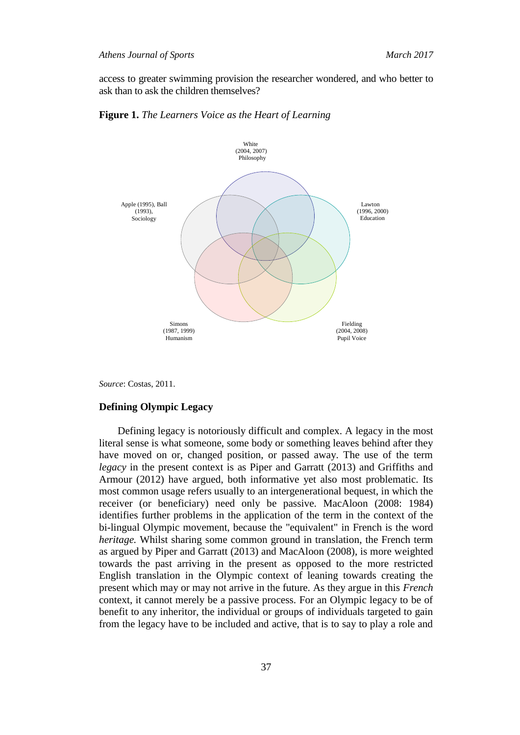access to greater swimming provision the researcher wondered, and who better to ask than to ask the children themselves?





*Source*: Costas, 2011.

### **Defining Olympic Legacy**

Defining legacy is notoriously difficult and complex. A legacy in the most literal sense is what someone, some body or something leaves behind after they have moved on or, changed position, or passed away. The use of the term *legacy* in the present context is as Piper and Garratt (2013) and Griffiths and Armour (2012) have argued, both informative yet also most problematic. Its most common usage refers usually to an intergenerational bequest, in which the receiver (or beneficiary) need only be passive. MacAloon (2008: 1984) identifies further problems in the application of the term in the context of the bi-lingual Olympic movement, because the "equivalent" in French is the word *heritage.* Whilst sharing some common ground in translation, the French term as argued by Piper and Garratt (2013) and MacAloon (2008), is more weighted towards the past arriving in the present as opposed to the more restricted English translation in the Olympic context of leaning towards creating the present which may or may not arrive in the future. As they argue in this *French*  context, it cannot merely be a passive process. For an Olympic legacy to be of benefit to any inheritor, the individual or groups of individuals targeted to gain from the legacy have to be included and active, that is to say to play a role and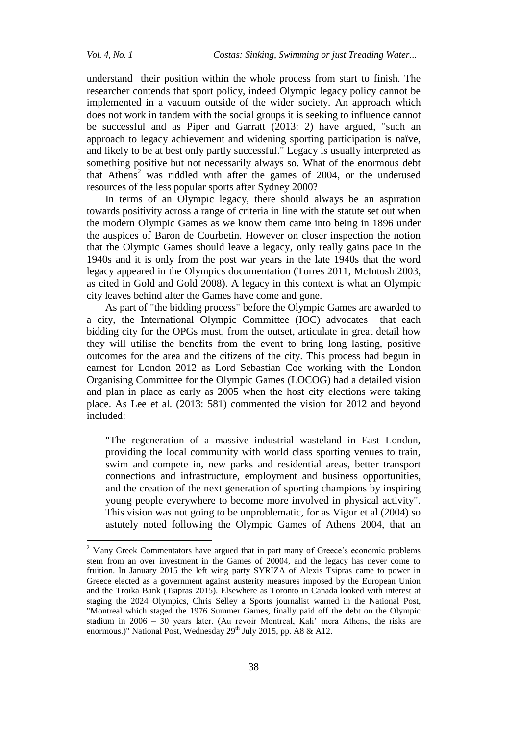understand their position within the whole process from start to finish. The researcher contends that sport policy, indeed Olympic legacy policy cannot be implemented in a vacuum outside of the wider society. An approach which does not work in tandem with the social groups it is seeking to influence cannot be successful and as Piper and Garratt (2013: 2) have argued, "such an approach to legacy achievement and widening sporting participation is naïve, and likely to be at best only partly successful." Legacy is usually interpreted as something positive but not necessarily always so. What of the enormous debt that Athens<sup>2</sup> was riddled with after the games of 2004, or the underused resources of the less popular sports after Sydney 2000?

In terms of an Olympic legacy, there should always be an aspiration towards positivity across a range of criteria in line with the statute set out when the modern Olympic Games as we know them came into being in 1896 under the auspices of Baron de Courbetin. However on closer inspection the notion that the Olympic Games should leave a legacy, only really gains pace in the 1940s and it is only from the post war years in the late 1940s that the word legacy appeared in the Olympics documentation (Torres 2011, McIntosh 2003, as cited in Gold and Gold 2008). A legacy in this context is what an Olympic city leaves behind after the Games have come and gone.

As part of "the bidding process" before the Olympic Games are awarded to a city, the International Olympic Committee (IOC) advocates that each bidding city for the OPGs must, from the outset, articulate in great detail how they will utilise the benefits from the event to bring long lasting, positive outcomes for the area and the citizens of the city. This process had begun in earnest for London 2012 as Lord Sebastian Coe working with the London Organising Committee for the Olympic Games (LOCOG) had a detailed vision and plan in place as early as 2005 when the host city elections were taking place. As Lee et al. (2013: 581) commented the vision for 2012 and beyond included:

"The regeneration of a massive industrial wasteland in East London, providing the local community with world class sporting venues to train, swim and compete in, new parks and residential areas, better transport connections and infrastructure, employment and business opportunities, and the creation of the next generation of sporting champions by inspiring young people everywhere to become more involved in physical activity". This vision was not going to be unproblematic, for as Vigor et al (2004) so astutely noted following the Olympic Games of Athens 2004, that an

<sup>&</sup>lt;sup>2</sup> Many Greek Commentators have argued that in part many of Greece's economic problems stem from an over investment in the Games of 20004, and the legacy has never come to fruition. In January 2015 the left wing party SYRIZA of Alexis Tsipras came to power in Greece elected as a government against austerity measures imposed by the European Union and the Troika Bank (Tsipras 2015). Elsewhere as Toronto in Canada looked with interest at staging the 2024 Olympics, Chris Selley a Sports journalist warned in the National Post, "Montreal which staged the 1976 Summer Games, finally paid off the debt on the Olympic stadium in 2006 – 30 years later. (Au revoir Montreal, Kali' mera Athens, the risks are enormous.)" National Post, Wednesday 29<sup>th</sup> July 2015, pp. A8 & A12.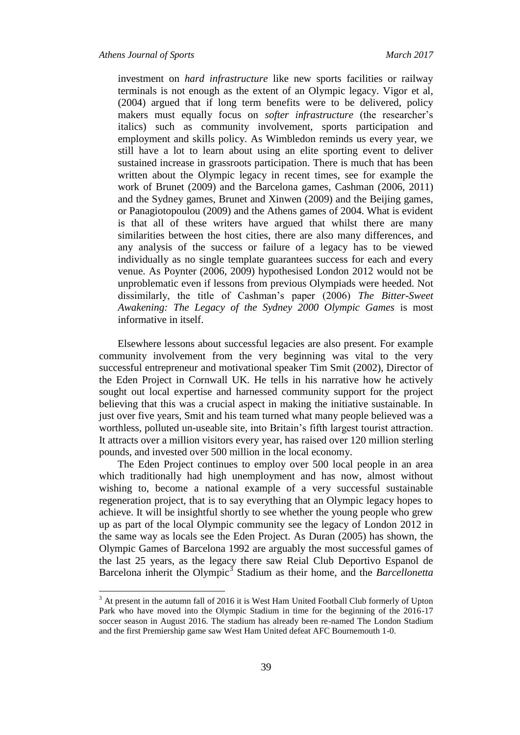investment on *hard infrastructure* like new sports facilities or railway terminals is not enough as the extent of an Olympic legacy. Vigor et al, (2004) argued that if long term benefits were to be delivered, policy makers must equally focus on *softer infrastructure* (the researcher's italics) such as community involvement, sports participation and employment and skills policy. As Wimbledon reminds us every year, we still have a lot to learn about using an elite sporting event to deliver sustained increase in grassroots participation. There is much that has been written about the Olympic legacy in recent times, see for example the work of Brunet (2009) and the Barcelona games, Cashman (2006, 2011) and the Sydney games, Brunet and Xinwen (2009) and the Beijing games, or Panagiotopoulou (2009) and the Athens games of 2004. What is evident is that all of these writers have argued that whilst there are many similarities between the host cities, there are also many differences, and any analysis of the success or failure of a legacy has to be viewed individually as no single template guarantees success for each and every venue. As Poynter (2006, 2009) hypothesised London 2012 would not be unproblematic even if lessons from previous Olympiads were heeded. Not dissimilarly, the title of Cashman's paper (2006) *The Bitter-Sweet Awakening: The Legacy of the Sydney 2000 Olympic Games* is most informative in itself.

Elsewhere lessons about successful legacies are also present. For example community involvement from the very beginning was vital to the very successful entrepreneur and motivational speaker Tim Smit (2002), Director of the Eden Project in Cornwall UK. He tells in his narrative how he actively sought out local expertise and harnessed community support for the project believing that this was a crucial aspect in making the initiative sustainable. In just over five years, Smit and his team turned what many people believed was a worthless, polluted un-useable site, into Britain's fifth largest tourist attraction. It attracts over a million visitors every year, has raised over 120 million sterling pounds, and invested over 500 million in the local economy.

The Eden Project continues to employ over 500 local people in an area which traditionally had high unemployment and has now, almost without wishing to, become a national example of a very successful sustainable regeneration project, that is to say everything that an Olympic legacy hopes to achieve. It will be insightful shortly to see whether the young people who grew up as part of the local Olympic community see the legacy of London 2012 in the same way as locals see the Eden Project. As Duran (2005) has shown, the Olympic Games of Barcelona 1992 are arguably the most successful games of the last 25 years, as the legacy there saw Reial Club Deportivo Espanol de Barcelona inherit the Olympic<sup>3</sup> Stadium as their home, and the *Barcellonetta* 

<sup>&</sup>lt;sup>3</sup> At present in the autumn fall of 2016 it is West Ham United Football Club formerly of Upton Park who have moved into the Olympic Stadium in time for the beginning of the 2016-17 soccer season in August 2016. The stadium has already been re-named The London Stadium and the first Premiership game saw West Ham United defeat AFC Bournemouth 1-0.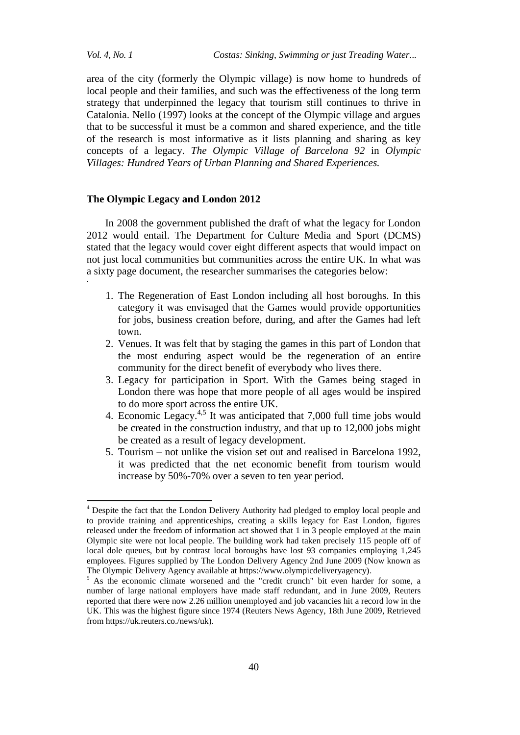*Vol. 4, No. 1 Costas: Sinking, Swimming or just Treading Water...*

area of the city (formerly the Olympic village) is now home to hundreds of local people and their families, and such was the effectiveness of the long term strategy that underpinned the legacy that tourism still continues to thrive in Catalonia. Nello (1997) looks at the concept of the Olympic village and argues that to be successful it must be a common and shared experience, and the title of the research is most informative as it lists planning and sharing as key concepts of a legacy. *The Olympic Village of Barcelona 92* in *Olympic Villages: Hundred Years of Urban Planning and Shared Experiences.*

# **The Olympic Legacy and London 2012**

In 2008 the government published the draft of what the legacy for London 2012 would entail. The Department for Culture Media and Sport (DCMS) stated that the legacy would cover eight different aspects that would impact on not just local communities but communities across the entire UK. In what was a sixty page document, the researcher summarises the categories below: .

- 1. The Regeneration of East London including all host boroughs. In this category it was envisaged that the Games would provide opportunities for jobs, business creation before, during, and after the Games had left town.
- 2. Venues. It was felt that by staging the games in this part of London that the most enduring aspect would be the regeneration of an entire community for the direct benefit of everybody who lives there.
- 3. Legacy for participation in Sport. With the Games being staged in London there was hope that more people of all ages would be inspired to do more sport across the entire UK.
- 4. Economic Legacy. $4.5$  It was anticipated that 7,000 full time jobs would be created in the construction industry, and that up to 12,000 jobs might be created as a result of legacy development.
- 5. Tourism not unlike the vision set out and realised in Barcelona 1992, it was predicted that the net economic benefit from tourism would increase by 50%-70% over a seven to ten year period.

<sup>&</sup>lt;sup>4</sup> Despite the fact that the London Delivery Authority had pledged to employ local people and to provide training and apprenticeships, creating a skills legacy for East London, figures released under the freedom of information act showed that 1 in 3 people employed at the main Olympic site were not local people. The building work had taken precisely 115 people off of local dole queues, but by contrast local boroughs have lost 93 companies employing 1,245 employees. Figures supplied by The London Delivery Agency 2nd June 2009 (Now known as The Olympic Delivery Agency available at https://www.olympicdeliveryagency).

<sup>&</sup>lt;sup>5</sup> As the economic climate worsened and the "credit crunch" bit even harder for some, a number of large national employers have made staff redundant, and in June 2009, Reuters reported that there were now 2.26 million unemployed and job vacancies hit a record low in the UK. This was the highest figure since 1974 (Reuters News Agency, 18th June 2009, Retrieved from https://uk.reuters.co./news/uk).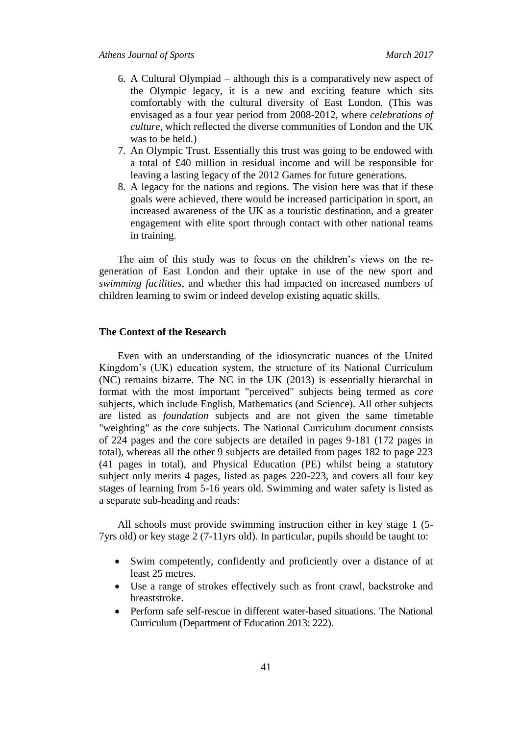- 6. A Cultural Olympiad although this is a comparatively new aspect of the Olympic legacy, it is a new and exciting feature which sits comfortably with the cultural diversity of East London. (This was envisaged as a four year period from 2008-2012, where *celebrations of culture*, which reflected the diverse communities of London and the UK was to be held.)
- 7. An Olympic Trust. Essentially this trust was going to be endowed with a total of £40 million in residual income and will be responsible for leaving a lasting legacy of the 2012 Games for future generations.
- 8. A legacy for the nations and regions. The vision here was that if these goals were achieved, there would be increased participation in sport, an increased awareness of the UK as a touristic destination, and a greater engagement with elite sport through contact with other national teams in training.

The aim of this study was to focus on the children's views on the regeneration of East London and their uptake in use of the new sport and *swimming facilities*, and whether this had impacted on increased numbers of children learning to swim or indeed develop existing aquatic skills.

#### **The Context of the Research**

Even with an understanding of the idiosyncratic nuances of the United Kingdom's (UK) education system, the structure of its National Curriculum (NC) remains bizarre. The NC in the UK (2013) is essentially hierarchal in format with the most important "perceived" subjects being termed as *core*  subjects, which include English, Mathematics (and Science). All other subjects are listed as *foundation* subjects and are not given the same timetable "weighting" as the core subjects. The National Curriculum document consists of 224 pages and the core subjects are detailed in pages 9-181 (172 pages in total), whereas all the other 9 subjects are detailed from pages 182 to page 223 (41 pages in total), and Physical Education (PE) whilst being a statutory subject only merits 4 pages, listed as pages 220-223, and covers all four key stages of learning from 5-16 years old. Swimming and water safety is listed as a separate sub-heading and reads:

All schools must provide swimming instruction either in key stage 1 (5- 7yrs old) or key stage 2 (7-11yrs old). In particular, pupils should be taught to:

- Swim competently, confidently and proficiently over a distance of at least 25 metres.
- Use a range of strokes effectively such as front crawl, backstroke and breaststroke.
- Perform safe self-rescue in different water-based situations. The National Curriculum (Department of Education 2013: 222).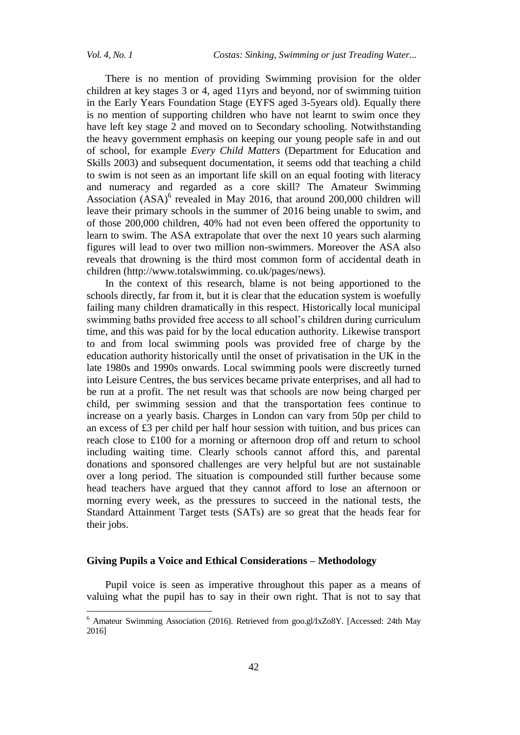There is no mention of providing Swimming provision for the older children at key stages 3 or 4, aged 11yrs and beyond, nor of swimming tuition in the Early Years Foundation Stage (EYFS aged 3-5years old). Equally there is no mention of supporting children who have not learnt to swim once they have left key stage 2 and moved on to Secondary schooling. Notwithstanding the heavy government emphasis on keeping our young people safe in and out of school, for example *Every Child Matters* (Department for Education and Skills 2003) and subsequent documentation, it seems odd that teaching a child to swim is not seen as an important life skill on an equal footing with literacy and numeracy and regarded as a core skill? The Amateur Swimming Association (ASA)<sup>6</sup> revealed in May 2016, that around 200,000 children will leave their primary schools in the summer of 2016 being unable to swim, and of those 200,000 children, 40% had not even been offered the opportunity to learn to swim. The ASA extrapolate that over the next 10 years such alarming figures will lead to over two million non-swimmers. Moreover the ASA also reveals that drowning is the third most common form of accidental death in children (http://www.totalswimming. co.uk/pages/news).

In the context of this research, blame is not being apportioned to the schools directly, far from it, but it is clear that the education system is woefully failing many children dramatically in this respect. Historically local municipal swimming baths provided free access to all school's children during curriculum time, and this was paid for by the local education authority. Likewise transport to and from local swimming pools was provided free of charge by the education authority historically until the onset of privatisation in the UK in the late 1980s and 1990s onwards. Local swimming pools were discreetly turned into Leisure Centres, the bus services became private enterprises, and all had to be run at a profit. The net result was that schools are now being charged per child, per swimming session and that the transportation fees continue to increase on a yearly basis. Charges in London can vary from 50p per child to an excess of £3 per child per half hour session with tuition, and bus prices can reach close to £100 for a morning or afternoon drop off and return to school including waiting time. Clearly schools cannot afford this, and parental donations and sponsored challenges are very helpful but are not sustainable over a long period. The situation is compounded still further because some head teachers have argued that they cannot afford to lose an afternoon or morning every week, as the pressures to succeed in the national tests, the Standard Attainment Target tests (SATs) are so great that the heads fear for their jobs.

# **Giving Pupils a Voice and Ethical Considerations – Methodology**

Pupil voice is seen as imperative throughout this paper as a means of valuing what the pupil has to say in their own right. That is not to say that

<sup>&</sup>lt;sup>6</sup> Amateur Swimming Association (2016). Retrieved from goo.gl/IxZo8Y. [Accessed: 24th May 2016]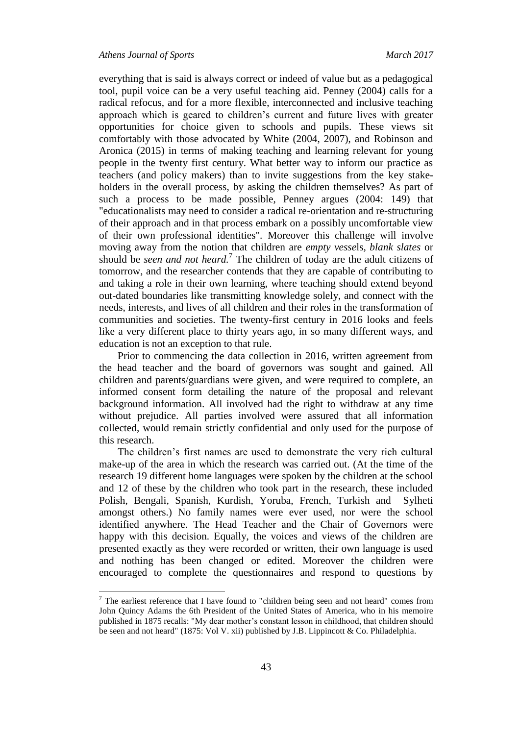everything that is said is always correct or indeed of value but as a pedagogical tool, pupil voice can be a very useful teaching aid. Penney (2004) calls for a radical refocus, and for a more flexible, interconnected and inclusive teaching approach which is geared to children's current and future lives with greater opportunities for choice given to schools and pupils. These views sit comfortably with those advocated by White (2004, 2007), and Robinson and Aronica (2015) in terms of making teaching and learning relevant for young people in the twenty first century. What better way to inform our practice as teachers (and policy makers) than to invite suggestions from the key stakeholders in the overall process, by asking the children themselves? As part of such a process to be made possible, Penney argues (2004: 149) that "educationalists may need to consider a radical re-orientation and re-structuring of their approach and in that process embark on a possibly uncomfortable view of their own professional identities". Moreover this challenge will involve moving away from the notion that children are *empty vesse*ls*, blank slates* or should be *seen and not heard.*<sup>7</sup> The children of today are the adult citizens of tomorrow, and the researcher contends that they are capable of contributing to and taking a role in their own learning, where teaching should extend beyond out-dated boundaries like transmitting knowledge solely, and connect with the needs, interests, and lives of all children and their roles in the transformation of communities and societies. The twenty-first century in 2016 looks and feels like a very different place to thirty years ago, in so many different ways, and education is not an exception to that rule.

Prior to commencing the data collection in 2016, written agreement from the head teacher and the board of governors was sought and gained. All children and parents/guardians were given, and were required to complete, an informed consent form detailing the nature of the proposal and relevant background information. All involved had the right to withdraw at any time without prejudice. All parties involved were assured that all information collected, would remain strictly confidential and only used for the purpose of this research.

The children's first names are used to demonstrate the very rich cultural make-up of the area in which the research was carried out. (At the time of the research 19 different home languages were spoken by the children at the school and 12 of these by the children who took part in the research, these included Polish, Bengali, Spanish, Kurdish, Yoruba, French, Turkish and Sylheti amongst others.) No family names were ever used, nor were the school identified anywhere. The Head Teacher and the Chair of Governors were happy with this decision. Equally, the voices and views of the children are presented exactly as they were recorded or written, their own language is used and nothing has been changed or edited. Moreover the children were encouraged to complete the questionnaires and respond to questions by

 $7$  The earliest reference that I have found to "children being seen and not heard" comes from John Quincy Adams the 6th President of the United States of America, who in his memoire published in 1875 recalls: "My dear mother's constant lesson in childhood, that children should be seen and not heard" (1875: Vol V. xii) published by J.B. Lippincott & Co. Philadelphia.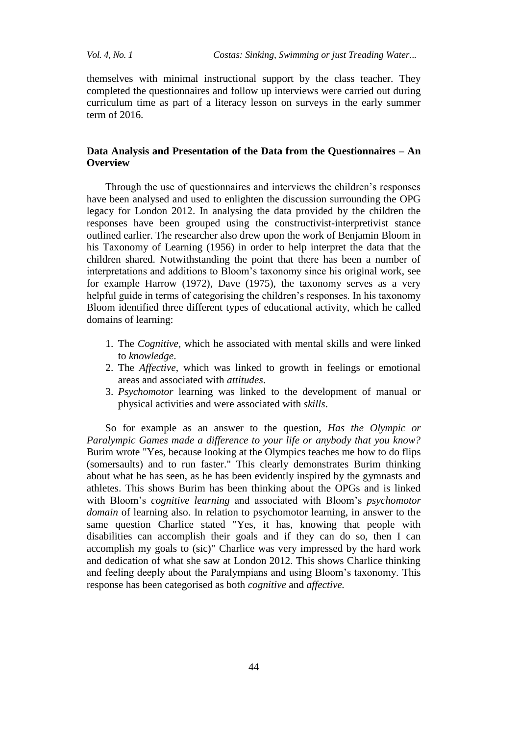themselves with minimal instructional support by the class teacher. They completed the questionnaires and follow up interviews were carried out during curriculum time as part of a literacy lesson on surveys in the early summer term of 2016.

# **Data Analysis and Presentation of the Data from the Questionnaires – An Overview**

Through the use of questionnaires and interviews the children's responses have been analysed and used to enlighten the discussion surrounding the OPG legacy for London 2012. In analysing the data provided by the children the responses have been grouped using the constructivist-interpretivist stance outlined earlier. The researcher also drew upon the work of Benjamin Bloom in his Taxonomy of Learning (1956) in order to help interpret the data that the children shared. Notwithstanding the point that there has been a number of interpretations and additions to Bloom's taxonomy since his original work, see for example Harrow (1972), Dave (1975), the taxonomy serves as a very helpful guide in terms of categorising the children's responses. In his taxonomy Bloom identified three different types of educational activity, which he called domains of learning:

- 1. The *Cognitive,* which he associated with mental skills and were linked to *knowledge*.
- 2. The *Affective*, which was linked to growth in feelings or emotional areas and associated with *attitudes*.
- 3. *Psychomotor* learning was linked to the development of manual or physical activities and were associated with *skills*.

So for example as an answer to the question, *Has the Olympic or Paralympic Games made a difference to your life or anybody that you know?*  Burim wrote "Yes, because looking at the Olympics teaches me how to do flips (somersaults) and to run faster." This clearly demonstrates Burim thinking about what he has seen, as he has been evidently inspired by the gymnasts and athletes. This shows Burim has been thinking about the OPGs and is linked with Bloom's *cognitive learning* and associated with Bloom's *psychomotor domain* of learning also. In relation to psychomotor learning, in answer to the same question Charlice stated "Yes, it has, knowing that people with disabilities can accomplish their goals and if they can do so, then I can accomplish my goals to (sic)" Charlice was very impressed by the hard work and dedication of what she saw at London 2012. This shows Charlice thinking and feeling deeply about the Paralympians and using Bloom's taxonomy. This response has been categorised as both *cognitive* and *affective.*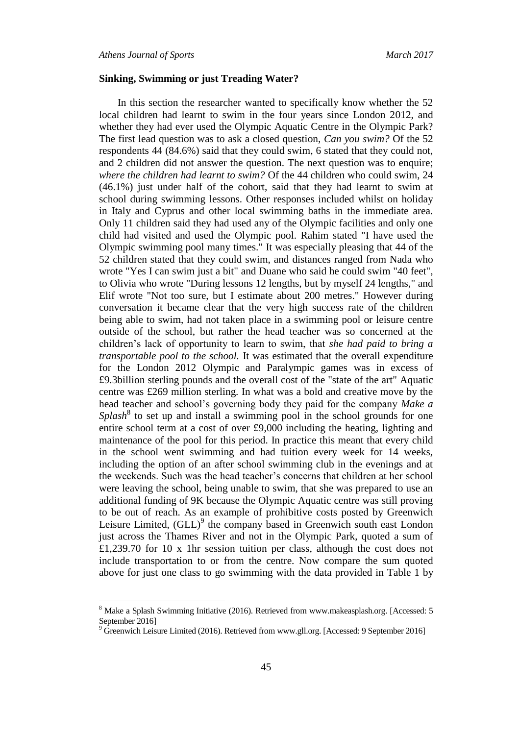$\overline{\phantom{a}}$ 

#### **Sinking, Swimming or just Treading Water?**

In this section the researcher wanted to specifically know whether the 52 local children had learnt to swim in the four years since London 2012, and whether they had ever used the Olympic Aquatic Centre in the Olympic Park? The first lead question was to ask a closed question, *Can you swim?* Of the 52 respondents 44 (84.6%) said that they could swim, 6 stated that they could not, and 2 children did not answer the question. The next question was to enquire; *where the children had learnt to swim?* Of the 44 children who could swim, 24 (46.1%) just under half of the cohort, said that they had learnt to swim at school during swimming lessons. Other responses included whilst on holiday in Italy and Cyprus and other local swimming baths in the immediate area. Only 11 children said they had used any of the Olympic facilities and only one child had visited and used the Olympic pool. Rahim stated "I have used the Olympic swimming pool many times." It was especially pleasing that 44 of the 52 children stated that they could swim, and distances ranged from Nada who wrote "Yes I can swim just a bit" and Duane who said he could swim "40 feet", to Olivia who wrote "During lessons 12 lengths, but by myself 24 lengths," and Elif wrote "Not too sure, but I estimate about 200 metres." However during conversation it became clear that the very high success rate of the children being able to swim, had not taken place in a swimming pool or leisure centre outside of the school, but rather the head teacher was so concerned at the children's lack of opportunity to learn to swim, that *she had paid to bring a transportable pool to the school.* It was estimated that the overall expenditure for the London 2012 Olympic and Paralympic games was in excess of £9.3billion sterling pounds and the overall cost of the "state of the art" Aquatic centre was £269 million sterling. In what was a bold and creative move by the head teacher and school's governing body they paid for the company *Make a*  Splash<sup>8</sup> to set up and install a swimming pool in the school grounds for one entire school term at a cost of over £9,000 including the heating, lighting and maintenance of the pool for this period. In practice this meant that every child in the school went swimming and had tuition every week for 14 weeks, including the option of an after school swimming club in the evenings and at the weekends. Such was the head teacher's concerns that children at her school were leaving the school, being unable to swim, that she was prepared to use an additional funding of 9K because the Olympic Aquatic centre was still proving to be out of reach. As an example of prohibitive costs posted by Greenwich Leisure Limited, (GLL)<sup>9</sup> the company based in Greenwich south east London just across the Thames River and not in the Olympic Park, quoted a sum of £1,239.70 for 10 x 1hr session tuition per class, although the cost does not include transportation to or from the centre. Now compare the sum quoted above for just one class to go swimming with the data provided in Table 1 by

<sup>8</sup> Make a Splash Swimming Initiative (2016). Retrieved from www.makeasplash.org. [Accessed: 5 September 2016]

 $9\,\text{Greenwich}$  Leisure Limited (2016). Retrieved from www.gll.org. [Accessed: 9 September 2016]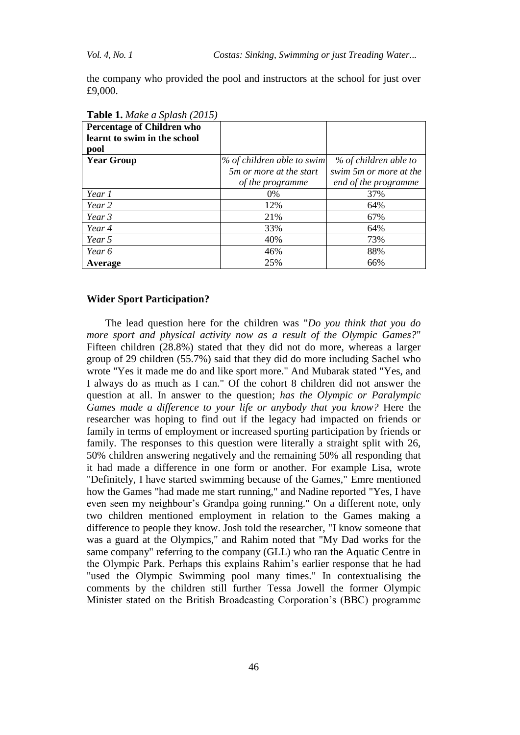the company who provided the pool and instructors at the school for just over £9,000.

| <b>Percentage of Children who</b> |                                 |                        |
|-----------------------------------|---------------------------------|------------------------|
| learnt to swim in the school      |                                 |                        |
| pool                              |                                 |                        |
| <b>Year Group</b>                 | % of children able to swim      | % of children able to  |
|                                   | 5 <i>m</i> or more at the start | swim 5m or more at the |
|                                   | of the programme                | end of the programme   |
| Year 1                            | $0\%$                           | 37%                    |
| Year 2                            | 12%                             | 64%                    |
| Year 3                            | 21%                             | 67%                    |
| Year 4                            | 33%                             | 64%                    |
| Year 5                            | 40%                             | 73%                    |
| Year 6                            | 46%                             | 88%                    |
| Average                           | 25%                             | 66%                    |

**Table 1.** *Make a Splash (2015)*

#### **Wider Sport Participation?**

The lead question here for the children was "*Do you think that you do more sport and physical activity now as a result of the Olympic Games?*" Fifteen children (28.8%) stated that they did not do more, whereas a larger group of 29 children (55.7%) said that they did do more including Sachel who wrote "Yes it made me do and like sport more." And Mubarak stated "Yes, and I always do as much as I can." Of the cohort 8 children did not answer the question at all. In answer to the question; *has the Olympic or Paralympic Games made a difference to your life or anybody that you know?* Here the researcher was hoping to find out if the legacy had impacted on friends or family in terms of employment or increased sporting participation by friends or family. The responses to this question were literally a straight split with 26, 50% children answering negatively and the remaining 50% all responding that it had made a difference in one form or another. For example Lisa, wrote "Definitely, I have started swimming because of the Games," Emre mentioned how the Games "had made me start running," and Nadine reported "Yes, I have even seen my neighbour's Grandpa going running." On a different note, only two children mentioned employment in relation to the Games making a difference to people they know. Josh told the researcher, "I know someone that was a guard at the Olympics," and Rahim noted that "My Dad works for the same company" referring to the company (GLL) who ran the Aquatic Centre in the Olympic Park. Perhaps this explains Rahim's earlier response that he had "used the Olympic Swimming pool many times." In contextualising the comments by the children still further Tessa Jowell the former Olympic Minister stated on the British Broadcasting Corporation's (BBC) programme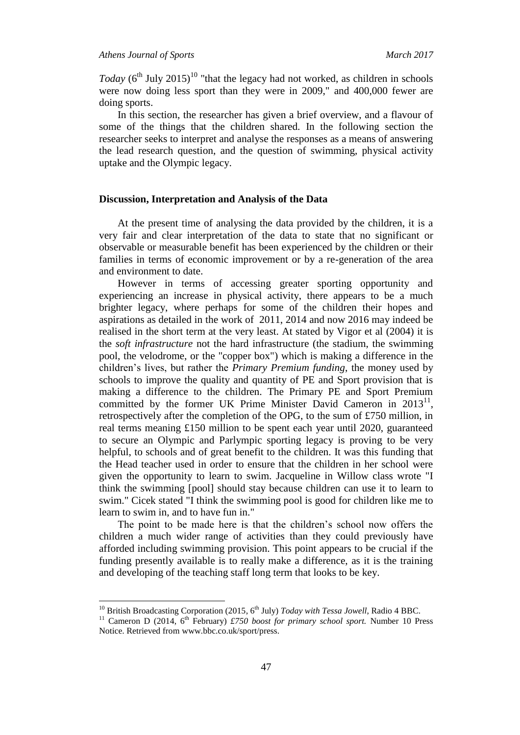$\overline{\phantom{a}}$ 

*Today*  $(6^{th}$  July 2015)<sup>10</sup> "that the legacy had not worked, as children in schools were now doing less sport than they were in 2009," and 400,000 fewer are doing sports.

In this section, the researcher has given a brief overview, and a flavour of some of the things that the children shared. In the following section the researcher seeks to interpret and analyse the responses as a means of answering the lead research question, and the question of swimming, physical activity uptake and the Olympic legacy.

# **Discussion, Interpretation and Analysis of the Data**

At the present time of analysing the data provided by the children, it is a very fair and clear interpretation of the data to state that no significant or observable or measurable benefit has been experienced by the children or their families in terms of economic improvement or by a re-generation of the area and environment to date.

However in terms of accessing greater sporting opportunity and experiencing an increase in physical activity, there appears to be a much brighter legacy, where perhaps for some of the children their hopes and aspirations as detailed in the work of 2011, 2014 and now 2016 may indeed be realised in the short term at the very least. At stated by Vigor et al (2004) it is the *soft infrastructure* not the hard infrastructure (the stadium, the swimming pool, the velodrome, or the "copper box") which is making a difference in the children's lives, but rather the *Primary Premium funding*, the money used by schools to improve the quality and quantity of PE and Sport provision that is making a difference to the children. The Primary PE and Sport Premium committed by the former UK Prime Minister David Cameron in  $2013<sup>11</sup>$ , retrospectively after the completion of the OPG, to the sum of £750 million, in real terms meaning £150 million to be spent each year until 2020, guaranteed to secure an Olympic and Parlympic sporting legacy is proving to be very helpful, to schools and of great benefit to the children. It was this funding that the Head teacher used in order to ensure that the children in her school were given the opportunity to learn to swim. Jacqueline in Willow class wrote "I think the swimming [pool] should stay because children can use it to learn to swim." Cicek stated "I think the swimming pool is good for children like me to learn to swim in, and to have fun in."

The point to be made here is that the children's school now offers the children a much wider range of activities than they could previously have afforded including swimming provision. This point appears to be crucial if the funding presently available is to really make a difference, as it is the training and developing of the teaching staff long term that looks to be key.

<sup>&</sup>lt;sup>10</sup> British Broadcasting Corporation (2015, 6<sup>th</sup> July) *Today with Tessa Jowell*, Radio 4 BBC.

<sup>&</sup>lt;sup>11</sup> Cameron D (2014, 6<sup>th</sup> February) *£750 boost for primary school sport*. Number 10 Press Notice. Retrieved from www.bbc.co.uk/sport/press.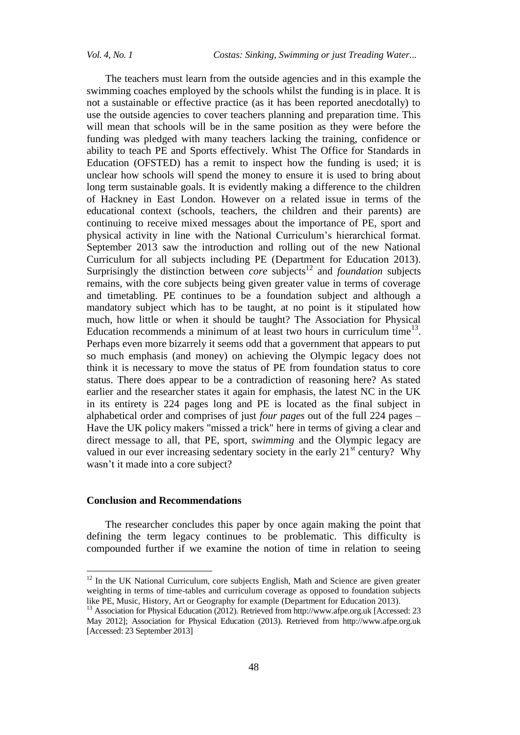The teachers must learn from the outside agencies and in this example the swimming coaches employed by the schools whilst the funding is in place. It is not a sustainable or effective practice (as it has been reported anecdotally) to use the outside agencies to cover teachers planning and preparation time. This will mean that schools will be in the same position as they were before the funding was pledged with many teachers lacking the training, confidence or ability to teach PE and Sports effectively. Whist The Office for Standards in Education (OFSTED) has a remit to inspect how the funding is used; it is unclear how schools will spend the money to ensure it is used to bring about long term sustainable goals. It is evidently making a difference to the children of Hackney in East London. However on a related issue in terms of the educational context (schools, teachers, the children and their parents) are continuing to receive mixed messages about the importance of PE, sport and physical activity in line with the National Curriculum's hierarchical format. September 2013 saw the introduction and rolling out of the new National Curriculum for all subjects including PE (Department for Education 2013). Surprisingly the distinction between *core* subjects<sup>12</sup> and *foundation* subjects remains, with the core subjects being given greater value in terms of coverage and timetabling. PE continues to be a foundation subject and although a mandatory subject which has to be taught, at no point is it stipulated how much, how little or when it should be taught? The Association for Physical Education recommends a minimum of at least two hours in curriculum time<sup>13</sup>. Perhaps even more bizarrely it seems odd that a government that appears to put so much emphasis (and money) on achieving the Olympic legacy does not think it is necessary to move the status of PE from foundation status to core status. There does appear to be a contradiction of reasoning here? As stated earlier and the researcher states it again for emphasis, the latest NC in the UK in its entirety is 224 pages long and PE is located as the final subject in alphabetical order and comprises of just *four pages* out of the full 224 pages – Have the UK policy makers "missed a trick" here in terms of giving a clear and direct message to all, that PE, sport, *swimming* and the Olympic legacy are valued in our ever increasing sedentary society in the early  $21<sup>st</sup>$  century? Why wasn't it made into a core subject?

## **Conclusion and Recommendations**

 $\overline{a}$ 

The researcher concludes this paper by once again making the point that defining the term legacy continues to be problematic. This difficulty is compounded further if we examine the notion of time in relation to seeing

 $12$  In the UK National Curriculum, core subjects English, Math and Science are given greater weighting in terms of time-tables and curriculum coverage as opposed to foundation subjects like PE, Music, History, Art or Geography for example (Department for Education 2013).

<sup>&</sup>lt;sup>13</sup> Association for Physical Education (2012). Retrieved from http://www.afpe.org.uk [Accessed: 23 May 2012]; Association for Physical Education (2013). Retrieved from http://www.afpe.org.uk [Accessed: 23 September 2013]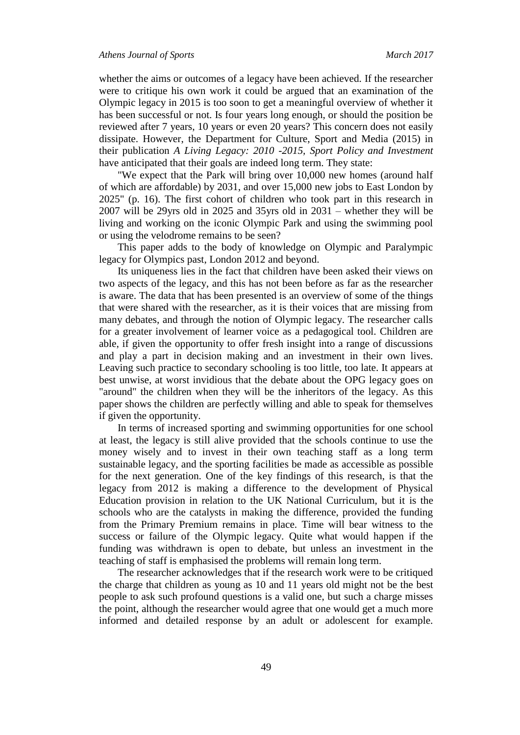whether the aims or outcomes of a legacy have been achieved. If the researcher were to critique his own work it could be argued that an examination of the Olympic legacy in 2015 is too soon to get a meaningful overview of whether it has been successful or not. Is four years long enough, or should the position be reviewed after 7 years, 10 years or even 20 years? This concern does not easily dissipate. However, the Department for Culture, Sport and Media (2015) in their publication *A Living Legacy: 2010 -2015, Sport Policy and Investment*  have anticipated that their goals are indeed long term. They state:

"We expect that the Park will bring over 10,000 new homes (around half of which are affordable) by 2031, and over 15,000 new jobs to East London by 2025" (p. 16). The first cohort of children who took part in this research in 2007 will be 29yrs old in 2025 and 35yrs old in 2031 – whether they will be living and working on the iconic Olympic Park and using the swimming pool or using the velodrome remains to be seen?

This paper adds to the body of knowledge on Olympic and Paralympic legacy for Olympics past, London 2012 and beyond.

Its uniqueness lies in the fact that children have been asked their views on two aspects of the legacy, and this has not been before as far as the researcher is aware. The data that has been presented is an overview of some of the things that were shared with the researcher, as it is their voices that are missing from many debates, and through the notion of Olympic legacy. The researcher calls for a greater involvement of learner voice as a pedagogical tool. Children are able, if given the opportunity to offer fresh insight into a range of discussions and play a part in decision making and an investment in their own lives. Leaving such practice to secondary schooling is too little, too late. It appears at best unwise, at worst invidious that the debate about the OPG legacy goes on "around" the children when they will be the inheritors of the legacy. As this paper shows the children are perfectly willing and able to speak for themselves if given the opportunity.

In terms of increased sporting and swimming opportunities for one school at least, the legacy is still alive provided that the schools continue to use the money wisely and to invest in their own teaching staff as a long term sustainable legacy, and the sporting facilities be made as accessible as possible for the next generation. One of the key findings of this research, is that the legacy from 2012 is making a difference to the development of Physical Education provision in relation to the UK National Curriculum, but it is the schools who are the catalysts in making the difference, provided the funding from the Primary Premium remains in place. Time will bear witness to the success or failure of the Olympic legacy. Quite what would happen if the funding was withdrawn is open to debate, but unless an investment in the teaching of staff is emphasised the problems will remain long term.

The researcher acknowledges that if the research work were to be critiqued the charge that children as young as 10 and 11 years old might not be the best people to ask such profound questions is a valid one, but such a charge misses the point, although the researcher would agree that one would get a much more informed and detailed response by an adult or adolescent for example.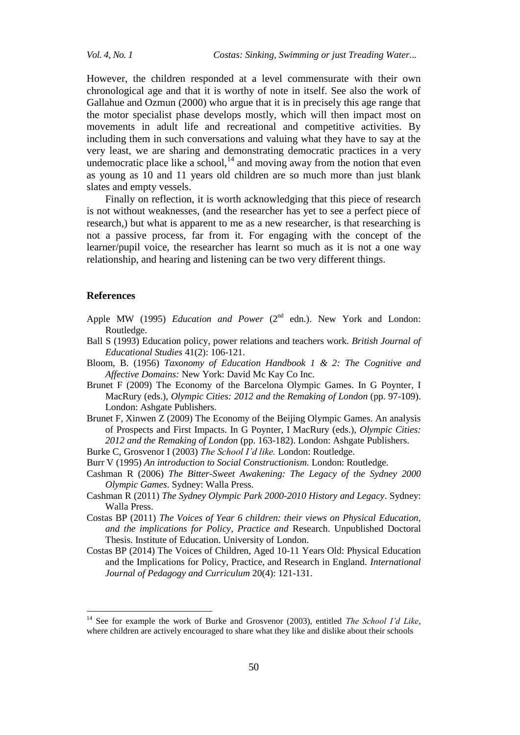However, the children responded at a level commensurate with their own chronological age and that it is worthy of note in itself. See also the work of Gallahue and Ozmun (2000) who argue that it is in precisely this age range that the motor specialist phase develops mostly, which will then impact most on movements in adult life and recreational and competitive activities. By including them in such conversations and valuing what they have to say at the very least, we are sharing and demonstrating democratic practices in a very undemocratic place like a school,  $^{14}$  and moving away from the notion that even as young as 10 and 11 years old children are so much more than just blank slates and empty vessels.

Finally on reflection, it is worth acknowledging that this piece of research is not without weaknesses, (and the researcher has yet to see a perfect piece of research,) but what is apparent to me as a new researcher, is that researching is not a passive process, far from it. For engaging with the concept of the learner/pupil voice, the researcher has learnt so much as it is not a one way relationship, and hearing and listening can be two very different things.

#### **References**

 $\overline{a}$ 

- Apple MW (1995) *Education and Power* (2<sup>nd</sup> edn.). New York and London: Routledge.
- Ball S (1993) Education policy, power relations and teachers work. *British Journal of Educational Studies* 41(2): 106-121.
- Bloom, B. (1956) *Taxonomy of Education Handbook 1 & 2: The Cognitive and Affective Domains:* New York: David Mc Kay Co Inc.
- Brunet F (2009) The Economy of the Barcelona Olympic Games. In G Poynter, I MacRury (eds.), *Olympic Cities: 2012 and the Remaking of London* (pp. 97-109). London: Ashgate Publishers.
- Brunet F, Xinwen Z (2009) The Economy of the Beijing Olympic Games. An analysis of Prospects and First Impacts. In G Poynter, I MacRury (eds.), *Olympic Cities: 2012 and the Remaking of London* (pp. 163-182). London: Ashgate Publishers.
- Burke C, Grosvenor I (2003) *The School I'd like.* London: Routledge.
- Burr V (1995) *An introduction to Social Constructionism.* London: Routledge.
- Cashman R (2006) *The Bitter-Sweet Awakening: The Legacy of the Sydney 2000 Olympic Games*. Sydney: Walla Press.
- Cashman R (2011) *The Sydney Olympic Park 2000-2010 History and Legacy*. Sydney: Walla Press.
- Costas BP (2011) *The Voices of Year 6 children: their views on Physical Education, and the implications for Policy, Practice and* Research. Unpublished Doctoral Thesis. Institute of Education. University of London.
- Costas BP (2014) The Voices of Children, Aged 10-11 Years Old: Physical Education and the Implications for Policy, Practice, and Research in England. *International Journal of Pedagogy and Curriculum* 20(4): 121-131.

<sup>14</sup> See for example the work of Burke and Grosvenor (2003), entitled *The School I'd Like*, where children are actively encouraged to share what they like and dislike about their schools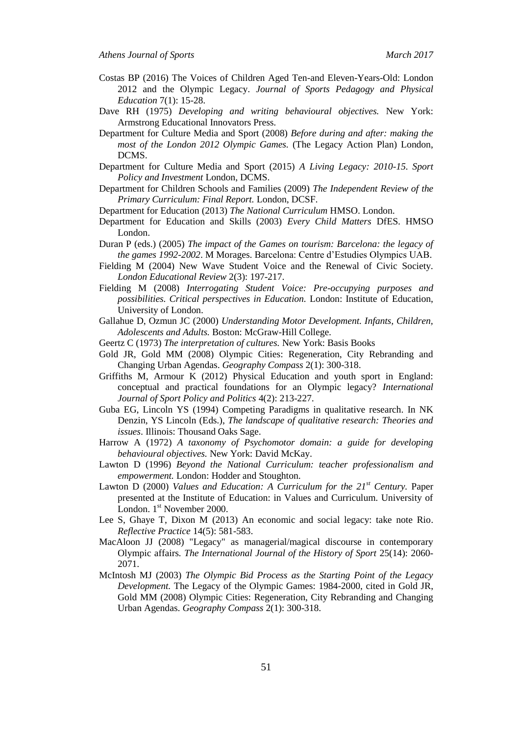- Costas BP (2016) The Voices of Children Aged Ten-and Eleven-Years-Old: London 2012 and the Olympic Legacy. *Journal of Sports Pedagogy and Physical Education* 7(1): 15-28.
- Dave RH (1975) *Developing and writing behavioural objectives.* New York: Armstrong Educational Innovators Press.
- Department for Culture Media and Sport (2008) *Before during and after: making the most of the London 2012 Olympic Games.* (The Legacy Action Plan) London, DCMS.
- Department for Culture Media and Sport (2015) *A Living Legacy: 2010-15. Sport Policy and Investment* London, DCMS.
- Department for Children Schools and Families (2009) *The Independent Review of the Primary Curriculum: Final Report.* London, DCSF.
- Department for Education (2013) *The National Curriculum* HMSO. London.
- Department for Education and Skills (2003) *Every Child Matters* DfES. HMSO London.
- Duran P (eds.) (2005) *The impact of the Games on tourism: Barcelona: the legacy of the games 1992-2002*. M Morages. Barcelona: Centre d'Estudies Olympics UAB.
- Fielding M (2004) New Wave Student Voice and the Renewal of Civic Society*. London Educational Review* 2(3): 197-217.
- Fielding M (2008) *Interrogating Student Voice: Pre-occupying purposes and possibilities. Critical perspectives in Education.* London: Institute of Education, University of London.
- Gallahue D, Ozmun JC (2000) *Understanding Motor Development. Infants, Children, Adolescents and Adults.* Boston: McGraw-Hill College.
- Geertz C (1973) *The interpretation of cultures.* New York: Basis Books
- Gold JR, Gold MM (2008) Olympic Cities: Regeneration, City Rebranding and Changing Urban Agendas. *Geography Compass* 2(1): 300-318.
- Griffiths M, Armour K (2012) Physical Education and youth sport in England: conceptual and practical foundations for an Olympic legacy? *International Journal of Sport Policy and Politics* 4(2): 213-227.
- Guba EG, Lincoln YS (1994) Competing Paradigms in qualitative research. In NK Denzin, YS Lincoln (Eds.), *The landscape of qualitative research: Theories and issues*. Illinois: Thousand Oaks Sage.
- Harrow A (1972) *A taxonomy of Psychomotor domain: a guide for developing behavioural objectives.* New York: David McKay.
- Lawton D (1996) *Beyond the National Curriculum: teacher professionalism and empowerment.* London: Hodder and Stoughton.
- Lawton D (2000) *Values and Education: A Curriculum for the 21st Century.* Paper presented at the Institute of Education: in Values and Curriculum. University of London. 1<sup>st</sup> November 2000.
- Lee S, Ghaye T, Dixon M (2013) An economic and social legacy: take note Rio. *Reflective Practice* 14(5): 581-583.
- MacAloon JJ (2008) "Legacy" as managerial/magical discourse in contemporary Olympic affairs*. The International Journal of the History of Sport* 25(14): 2060- 2071.
- McIntosh MJ (2003) *The Olympic Bid Process as the Starting Point of the Legacy Development.* The Legacy of the Olympic Games: 1984-2000, cited in Gold JR, Gold MM (2008) Olympic Cities: Regeneration, City Rebranding and Changing Urban Agendas. *Geography Compass* 2(1): 300-318.